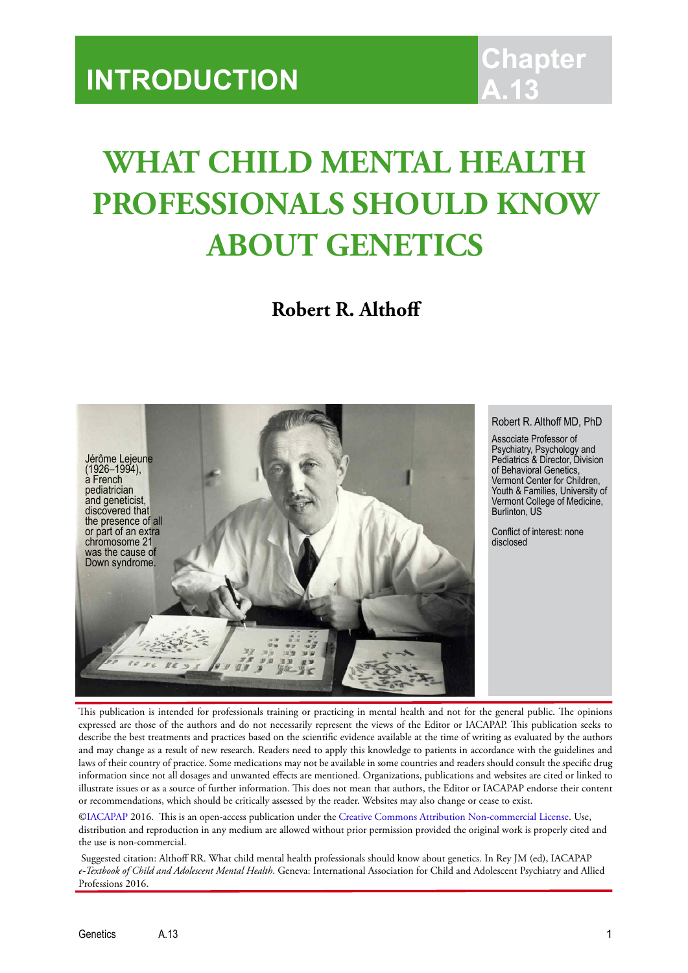## **WHAT CHILD MENTAL HEALTH PROFESSIONALS SHOULD KNOW ABOUT GENETICS**

**Robert R. Althoff**



Robert R. Althoff MD, PhD

Psychiatry, Psychology and Pediatrics & Director, Division Vermont Center for Children, Youth & Families, University of Vermont College of Medicine,

This publication is intended for professionals training or practicing in mental health and not for the general public. The opinions expressed are those of the authors and do not necessarily represent the views of the Editor or IACAPAP. This publication seeks to describe the best treatments and practices based on the scientific evidence available at the time of writing as evaluated by the authors and may change as a result of new research. Readers need to apply this knowledge to patients in accordance with the guidelines and laws of their country of practice. Some medications may not be available in some countries and readers should consult the specific drug information since not all dosages and unwanted effects are mentioned. Organizations, publications and websites are cited or linked to illustrate issues or as a source of further information. This does not mean that authors, the Editor or IACAPAP endorse their content or recommendations, which should be critically assessed by the reader. Websites may also change or cease to exist.

[©IACAPAP 2](http://iacapap.org/)016. This is an open-access publication under the [Creative Commons Attribution Non-commercial License](http://creativecommons.org/licenses/by-nc/2.0/). Use, distribution and reproduction in any medium are allowed without prior permission provided the original work is properly cited and the use is non-commercial.

 Suggested citation: Althoff RR. What child mental health professionals should know about genetics. In Rey JM (ed), IACAPAP *e-Textbook of Child and Adolescent Mental Health*. Geneva: International Association for Child and Adolescent Psychiatry and Allied Professions 2016.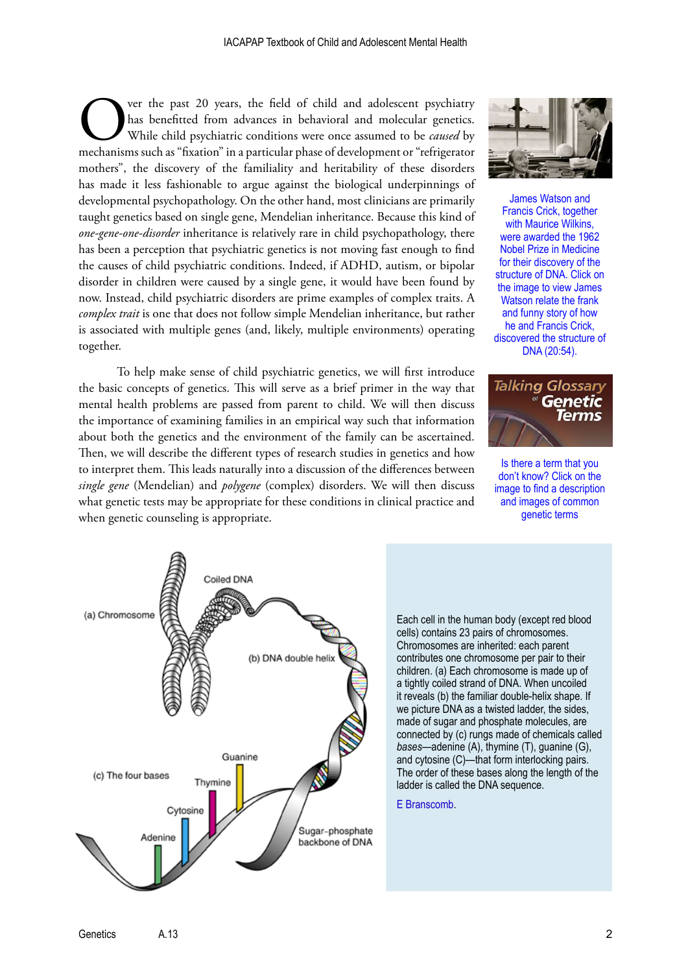Over the past 20 years, the field of child and adolescent psychiatry<br>
Mas benefitted from advances in behavioral and molecular genetics.<br>
While child psychiatric conditions were once assumed to be *caused* by<br>
mechanisms s has benefitted from advances in behavioral and molecular genetics. While child psychiatric conditions were once assumed to be *caused* by mothers", the discovery of the familiality and heritability of these disorders has made it less fashionable to argue against the biological underpinnings of developmental psychopathology. On the other hand, most clinicians are primarily taught genetics based on single gene, Mendelian inheritance. Because this kind of *one-gene-one-disorder* inheritance is relatively rare in child psychopathology, there has been a perception that psychiatric genetics is not moving fast enough to find the causes of child psychiatric conditions. Indeed, if ADHD, autism, or bipolar disorder in children were caused by a single gene, it would have been found by now. Instead, child psychiatric disorders are prime examples of complex traits. A *complex trait* is one that does not follow simple Mendelian inheritance, but rather is associated with multiple genes (and, likely, multiple environments) operating together.

To help make sense of child psychiatric genetics, we will first introduce the basic concepts of genetics. This will serve as a brief primer in the way that mental health problems are passed from parent to child. We will then discuss the importance of examining families in an empirical way such that information about both the genetics and the environment of the family can be ascertained. Then, we will describe the different types of research studies in genetics and how to interpret them. This leads naturally into a discussion of the differences between *single gene* (Mendelian) and *polygene* (complex) disorders. We will then discuss what genetic tests may be appropriate for these conditions in clinical practice and when genetic counseling is appropriate.



James Watson and Francis Crick, together with Maurice Wilkins. were awarded the 1962 Nobel Prize in Medicine for their discovery of the structure of DNA. Click on the image to view James Watson relate the frank and funny story of how he and Francis Crick, [discovered the structure of](http://www.ted.com/talks/james_watson_on_how_he_discovered_dna)  DNA (20:54).



Is there a term that you don't know? Click on the [image to find a description](http://www.genome.gov/Glossary/)  and images of common genetic terms



Each cell in the human body (except red blood cells) contains 23 pairs of chromosomes. Chromosomes are inherited: each parent contributes one chromosome per pair to their children. (a) Each chromosome is made up of a tightly coiled strand of DNA. When uncoiled it reveals (b) the familiar double-helix shape. If we picture DNA as a twisted ladder, the sides, made of sugar and phosphate molecules, are connected by (c) rungs made of chemicals called *bases*—adenine (A), thymine (T), guanine (G), and cytosine (C)—that form interlocking pairs. The order of these bases along the length of the ladder is called the DNA sequence.

[E Branscomb.](https://str.llnl.gov/str/Branscomb.html)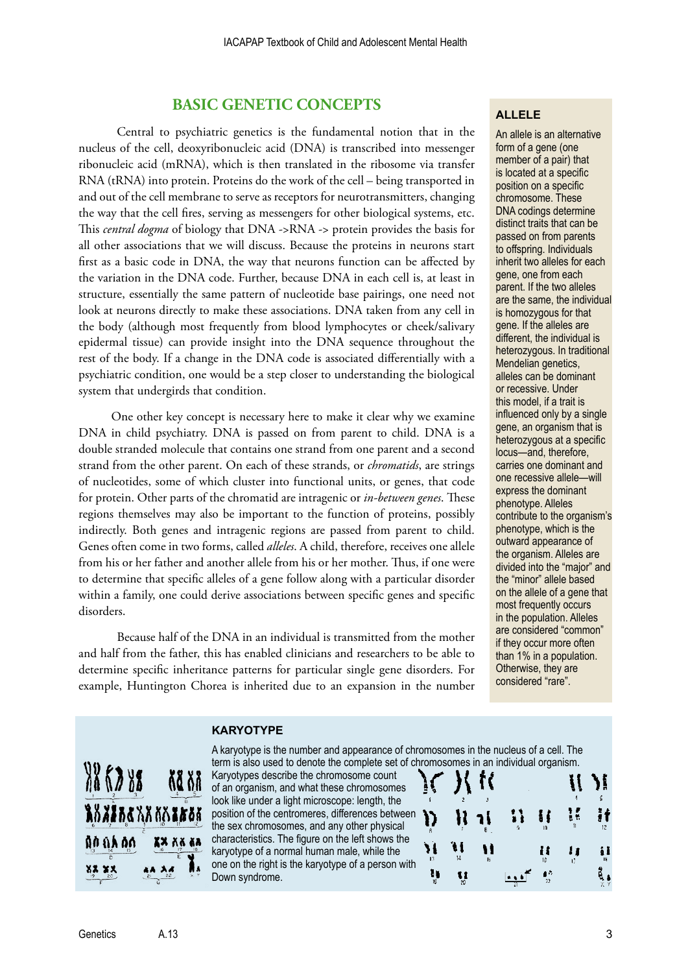## **BASIC GENETIC CONCEPTS**

Central to psychiatric genetics is the fundamental notion that in the nucleus of the cell, deoxyribonucleic acid (DNA) is transcribed into messenger ribonucleic acid (mRNA), which is then translated in the ribosome via transfer RNA (tRNA) into protein. Proteins do the work of the cell – being transported in and out of the cell membrane to serve as receptors for neurotransmitters, changing the way that the cell fires, serving as messengers for other biological systems, etc. This *central dogma* of biology that DNA ->RNA -> protein provides the basis for all other associations that we will discuss. Because the proteins in neurons start first as a basic code in DNA, the way that neurons function can be affected by the variation in the DNA code. Further, because DNA in each cell is, at least in structure, essentially the same pattern of nucleotide base pairings, one need not look at neurons directly to make these associations. DNA taken from any cell in the body (although most frequently from blood lymphocytes or cheek/salivary epidermal tissue) can provide insight into the DNA sequence throughout the rest of the body. If a change in the DNA code is associated differentially with a psychiatric condition, one would be a step closer to understanding the biological system that undergirds that condition.

One other key concept is necessary here to make it clear why we examine DNA in child psychiatry. DNA is passed on from parent to child. DNA is a double stranded molecule that contains one strand from one parent and a second strand from the other parent. On each of these strands, or *chromatids*, are strings of nucleotides, some of which cluster into functional units, or genes, that code for protein. Other parts of the chromatid are intragenic or *in-between genes*. These regions themselves may also be important to the function of proteins, possibly indirectly. Both genes and intragenic regions are passed from parent to child. Genes often come in two forms, called *alleles*. A child, therefore, receives one allele from his or her father and another allele from his or her mother. Thus, if one were to determine that specific alleles of a gene follow along with a particular disorder within a family, one could derive associations between specific genes and specific disorders.

Because half of the DNA in an individual is transmitted from the mother and half from the father, this has enabled clinicians and researchers to be able to determine specific inheritance patterns for particular single gene disorders. For example, Huntington Chorea is inherited due to an expansion in the number

#### **ALLELE**

An allele is an alternative form of a gene (one member of a pair) that is located at a specific position on a specific chromosome. These DNA codings determine distinct traits that can be passed on from parents to offspring. Individuals inherit two alleles for each gene, one from each parent. If the two alleles are the same, the individual is homozygous for that gene. If the alleles are different, the individual is heterozygous. In traditional Mendelian genetics, alleles can be dominant or recessive. Under this model, if a trait is influenced only by a single gene, an organism that is heterozygous at a specific locus—and, therefore, carries one dominant and one recessive allele—will express the dominant phenotype. Alleles contribute to the organism's phenotype, which is the outward appearance of the organism. Alleles are divided into the "major" and the "minor" allele based on the allele of a gene that most frequently occurs in the population. Alleles are considered "common" if they occur more often than 1% in a population. Otherwise, they are considered "rare".

#### **KARYOTYPE**



A karyotype is the number and appearance of chromosomes in the nucleus of a cell. The term is also used to denote the complete set of chromosomes in an individual organism.

Karyotypes describe the chromosome count of an organism, and what these chromosomes look like under a light microscope: length, the position of the centromeres, differences between the sex chromosomes, and any other physical characteristics. The figure on the left shows the karyotype of a normal human male, while the one on the right is the karyotype of a person with Down syndrome.

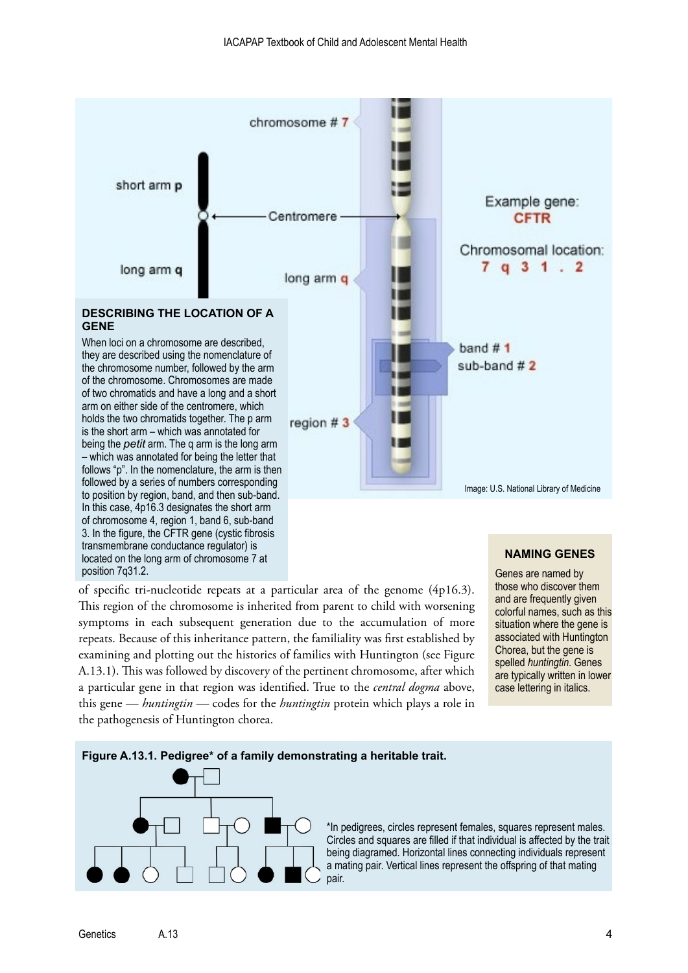

## **NAMING GENES**

of specific tri-nucleotide repeats at a particular area of the genome (4p16.3). This region of the chromosome is inherited from parent to child with worsening symptoms in each subsequent generation due to the accumulation of more repeats. Because of this inheritance pattern, the familiality was first established by examining and plotting out the histories of families with Huntington (see Figure A.13.1). This was followed by discovery of the pertinent chromosome, after which a particular gene in that region was identified. True to the *central dogma* above, this gene — *huntingtin —* codes for the *huntingtin* protein which plays a role in the pathogenesis of Huntington chorea.

located on the long arm of [chromosome 7](http://ghr.nlm.nih.gov/chromosome/7) at

position 7q31.2.

Genes are named by those who discover them and are frequently given colorful names, such as this situation where the gene is associated with Huntington Chorea, but the gene is spelled *huntingtin*. Genes are typically written in lower case lettering in italics.



Genetics A.13 4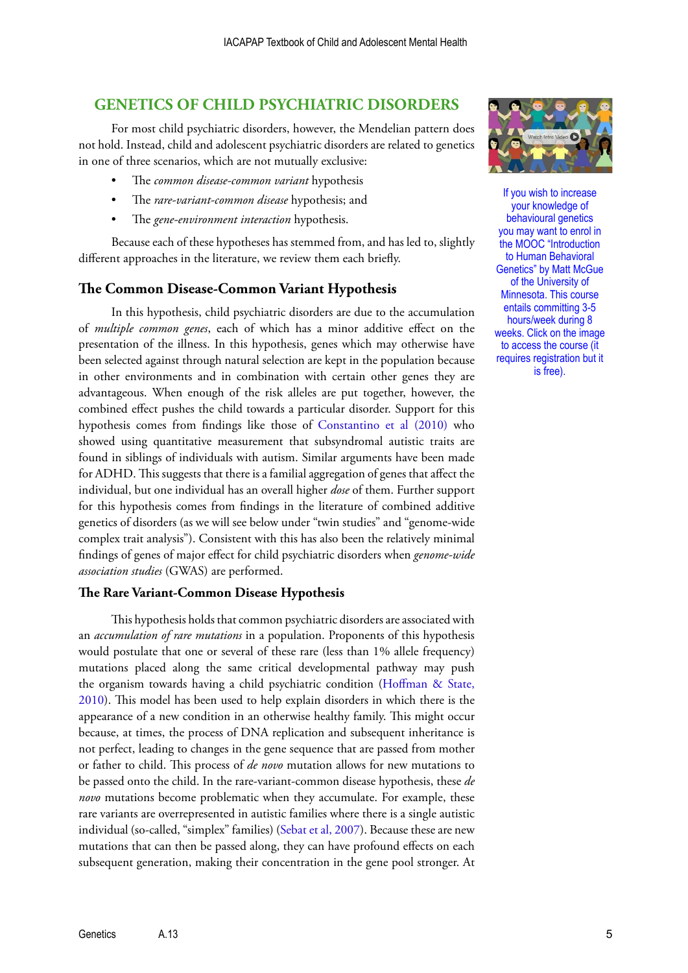## **GENETICS OF CHILD PSYCHIATRIC DISORDERS**

For most child psychiatric disorders, however, the Mendelian pattern does not hold. Instead, child and adolescent psychiatric disorders are related to genetics in one of three scenarios, which are not mutually exclusive:

- The *common disease-common variant* hypothesis
- The *rare-variant-common disease* hypothesis; and
- The *gene-environment interaction* hypothesis.

Because each of these hypotheses has stemmed from, and has led to, slightly different approaches in the literature, we review them each briefly.

#### **The Common Disease-Common Variant Hypothesis**

In this hypothesis, child psychiatric disorders are due to the accumulation of *multiple common genes*, each of which has a minor additive effect on the presentation of the illness. In this hypothesis, genes which may otherwise have been selected against through natural selection are kept in the population because in other environments and in combination with certain other genes they are advantageous. When enough of the risk alleles are put together, however, the combined effect pushes the child towards a particular disorder. Support for this hypothesis comes from findings like those of [Constantino et al \(2010\)](http://www.ncbi.nlm.nih.gov/pmc/articles/PMC2970737/) who showed using quantitative measurement that subsyndromal autistic traits are found in siblings of individuals with autism. Similar arguments have been made for ADHD. This suggests that there is a familial aggregation of genes that affect the individual, but one individual has an overall higher *dose* of them. Further support for this hypothesis comes from findings in the literature of combined additive genetics of disorders (as we will see below under "twin studies" and "genome-wide complex trait analysis"). Consistent with this has also been the relatively minimal findings of genes of major effect for child psychiatric disorders when *genome-wide association studies* (GWAS) are performed.

#### **The Rare Variant-Common Disease Hypothesis**

This hypothesis holds that common psychiatric disorders are associated with an *accumulation of rare mutations* in a population. Proponents of this hypothesis would postulate that one or several of these rare (less than 1% allele frequency) mutations placed along the same critical developmental pathway may push the organism towards having a child psychiatric condition [\(Hoffman & State,](http://www.ncbi.nlm.nih.gov/pubmed/20643309)  [2010](http://www.ncbi.nlm.nih.gov/pubmed/20643309)). This model has been used to help explain disorders in which there is the appearance of a new condition in an otherwise healthy family. This might occur because, at times, the process of DNA replication and subsequent inheritance is not perfect, leading to changes in the gene sequence that are passed from mother or father to child. This process of *de novo* mutation allows for new mutations to be passed onto the child. In the rare-variant-common disease hypothesis, these *de novo* mutations become problematic when they accumulate. For example, these rare variants are overrepresented in autistic families where there is a single autistic individual (so-called, "simplex" families) ([Sebat et al, 2007\)](http://www.ncbi.nlm.nih.gov/pmc/articles/PMC2993504/). Because these are new mutations that can then be passed along, they can have profound effects on each subsequent generation, making their concentration in the gene pool stronger. At



If you wish to increase your knowledge of behavioural genetics you may want to enrol in the MOOC "Introduction to Human Behavioral Genetics" by Matt McGue of the University of Minnesota. This course entails committing 3-5 hours/week during 8 [weeks. Click on the image](https://www.coursera.org/course/behavioralgenetics?authMode=login)  to access the course (it requires registration but it is free).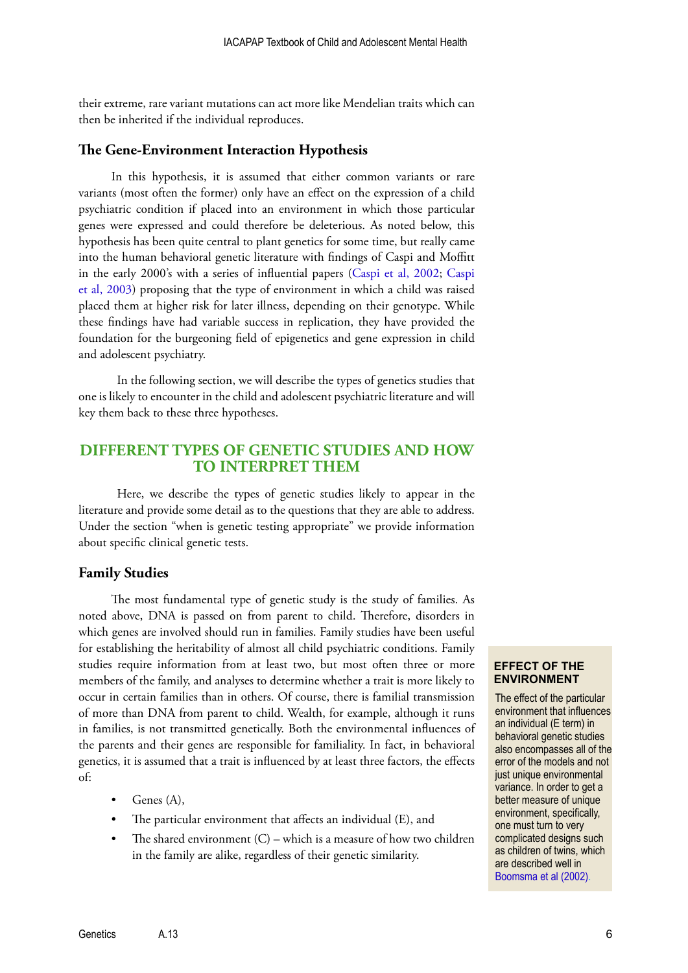their extreme, rare variant mutations can act more like Mendelian traits which can then be inherited if the individual reproduces.

## **The Gene-Environment Interaction Hypothesis**

In this hypothesis, it is assumed that either common variants or rare variants (most often the former) only have an effect on the expression of a child psychiatric condition if placed into an environment in which those particular genes were expressed and could therefore be deleterious. As noted below, this hypothesis has been quite central to plant genetics for some time, but really came into the human behavioral genetic literature with findings of Caspi and Moffitt in the early 2000's with a series of influential papers ([Caspi et al, 2002](http://www.ncbi.nlm.nih.gov/pubmed/12161658); [Caspi](http://www.ncbi.nlm.nih.gov/pubmed/12869766)  [et al, 2003](http://www.ncbi.nlm.nih.gov/pubmed/12869766)) proposing that the type of environment in which a child was raised placed them at higher risk for later illness, depending on their genotype. While these findings have had variable success in replication, they have provided the foundation for the burgeoning field of epigenetics and gene expression in child and adolescent psychiatry.

In the following section, we will describe the types of genetics studies that one is likely to encounter in the child and adolescent psychiatric literature and will key them back to these three hypotheses.

## **DIFFERENT TYPES OF GENETIC STUDIES AND HOW TO INTERPRET THEM**

Here, we describe the types of genetic studies likely to appear in the literature and provide some detail as to the questions that they are able to address. Under the section "when is genetic testing appropriate" we provide information about specific clinical genetic tests.

#### **Family Studies**

The most fundamental type of genetic study is the study of families. As noted above, DNA is passed on from parent to child. Therefore, disorders in which genes are involved should run in families. Family studies have been useful for establishing the heritability of almost all child psychiatric conditions. Family studies require information from at least two, but most often three or more members of the family, and analyses to determine whether a trait is more likely to occur in certain families than in others. Of course, there is familial transmission of more than DNA from parent to child. Wealth, for example, although it runs in families, is not transmitted genetically. Both the environmental influences of the parents and their genes are responsible for familiality. In fact, in behavioral genetics, it is assumed that a trait is influenced by at least three factors, the effects of:

- Genes (A),
- The particular environment that affects an individual (E), and
- The shared environment  $(C)$  which is a measure of how two children in the family are alike, regardless of their genetic similarity.

#### **EFFECT OF THE ENVIRONMENT**

The effect of the particular environment that influences an individual (E term) in behavioral genetic studies also encompasses all of the error of the models and not just unique environmental variance. In order to get a better measure of unique environment, specifically, one must turn to very complicated designs such as children of twins, which are described well in [Boomsma et al \(2002\)](http://www.ncbi.nlm.nih.gov/pubmed/12415317).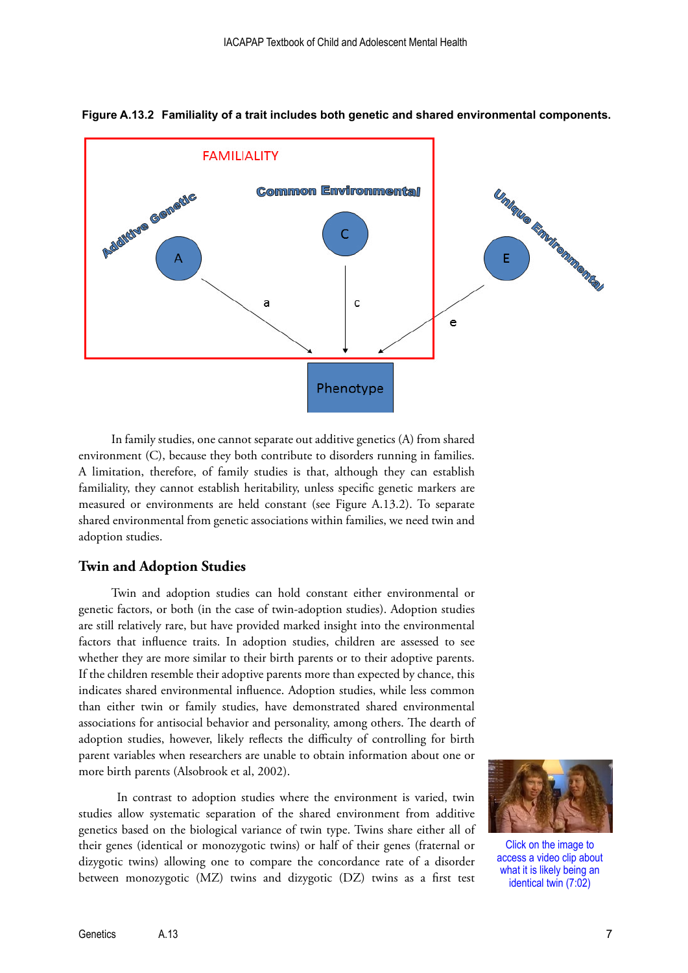

**Figure A.13.2 Familiality of a trait includes both genetic and shared environmental components.**

In family studies, one cannot separate out additive genetics (A) from shared environment (C), because they both contribute to disorders running in families. A limitation, therefore, of family studies is that, although they can establish familiality, they cannot establish heritability, unless specific genetic markers are measured or environments are held constant (see Figure A.13.2). To separate shared environmental from genetic associations within families, we need twin and adoption studies.

#### **Twin and Adoption Studies**

Twin and adoption studies can hold constant either environmental or genetic factors, or both (in the case of twin-adoption studies). Adoption studies are still relatively rare, but have provided marked insight into the environmental factors that influence traits. In adoption studies, children are assessed to see whether they are more similar to their birth parents or to their adoptive parents. If the children resemble their adoptive parents more than expected by chance, this indicates shared environmental influence. Adoption studies, while less common than either twin or family studies, have demonstrated shared environmental associations for antisocial behavior and personality, among others. The dearth of adoption studies, however, likely reflects the difficulty of controlling for birth parent variables when researchers are unable to obtain information about one or more birth parents (Alsobrook et al, 2002).

In contrast to adoption studies where the environment is varied, twin studies allow systematic separation of the shared environment from additive genetics based on the biological variance of twin type. Twins share either all of their genes (identical or monozygotic twins) or half of their genes (fraternal or dizygotic twins) allowing one to compare the concordance rate of a disorder between monozygotic (MZ) twins and dizygotic (DZ) twins as a first test



Click on the image to [access a video clip about](https://www.youtube.com/watch?v=MtEdP267TZ0)  what it is likely being an identical twin (7:02)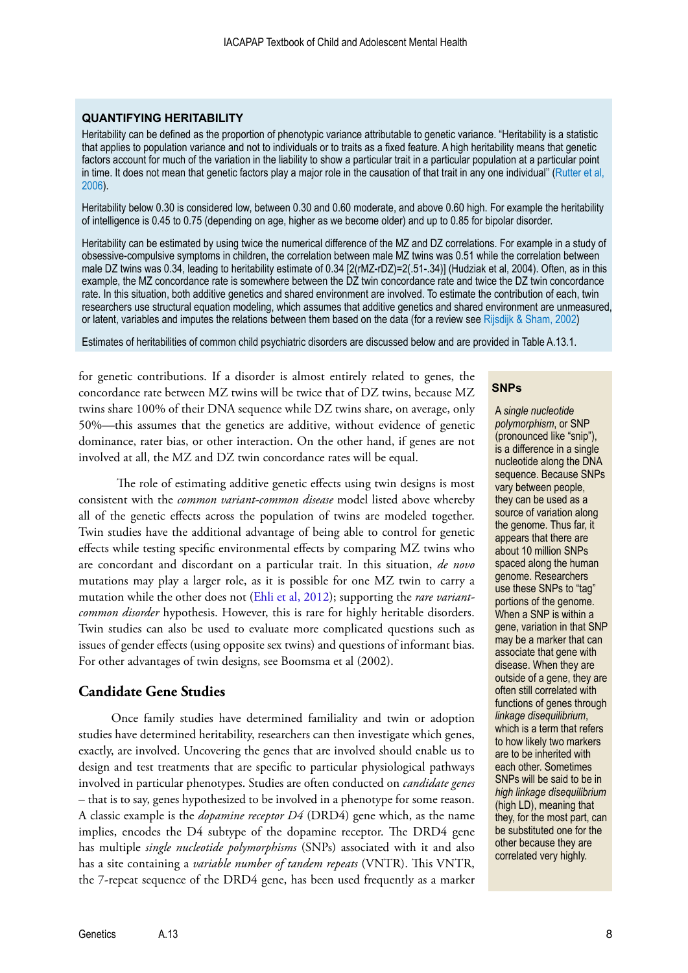#### **QUANTIFYING HERITABILITY**

Heritability can be defined as the proportion of phenotypic variance attributable to genetic variance. "Heritability is a statistic that applies to population variance and not to individuals or to traits as a fixed feature. A high heritability means that genetic factors account for much of the variation in the liability to show a particular trait in a particular population at a particular point in time. It does not mean that genetic factors play a major role in the causation of that trait in any one individual'' ([Rutter et al,](http://adai.washington.edu/confederation/2008readings/Hill_rutter-2006-gxe.pdf)  [2006](http://adai.washington.edu/confederation/2008readings/Hill_rutter-2006-gxe.pdf)).

Heritability below 0.30 is considered low, between 0.30 and 0.60 moderate, and above 0.60 high. For example the heritability of intelligence is 0.45 to 0.75 (depending on age, higher as we become older) and up to 0.85 for bipolar disorder.

Heritability can be estimated by using twice the numerical difference of the MZ and DZ correlations. For example in a study of obsessive-compulsive symptoms in children, the correlation between male MZ twins was 0.51 while the correlation between male DZ twins was 0.34, leading to heritability estimate of 0.34 [2(rMZ-rDZ)=2(.51-.34)] (Hudziak et al, 2004). Often, as in this example, the MZ concordance rate is somewhere between the DZ twin concordance rate and twice the DZ twin concordance rate. In this situation, both additive genetics and shared environment are involved. To estimate the contribution of each, twin researchers use structural equation modeling, which assumes that additive genetics and shared environment are unmeasured, or latent, variables and imputes the relations between them based on the data (for a review see [Rijsdijk & Sham, 2002\)](http://bib.oxfordjournals.org/content/3/2/119.long)

Estimates of heritabilities of common child psychiatric disorders are discussed below and are provided in Table A.13.1.

for genetic contributions. If a disorder is almost entirely related to genes, the concordance rate between MZ twins will be twice that of DZ twins, because MZ twins share 100% of their DNA sequence while DZ twins share, on average, only 50%—this assumes that the genetics are additive, without evidence of genetic dominance, rater bias, or other interaction. On the other hand, if genes are not involved at all, the MZ and DZ twin concordance rates will be equal.

The role of estimating additive genetic effects using twin designs is most consistent with the *common variant-common disease* model listed above whereby all of the genetic effects across the population of twins are modeled together. Twin studies have the additional advantage of being able to control for genetic effects while testing specific environmental effects by comparing MZ twins who are concordant and discordant on a particular trait. In this situation, *de novo* mutations may play a larger role, as it is possible for one MZ twin to carry a mutation while the other does not [\(Ehli et al, 2012\)](http://www.ncbi.nlm.nih.gov/pmc/articles/PMC3449078/); supporting the *rare variantcommon disorder* hypothesis. However, this is rare for highly heritable disorders. Twin studies can also be used to evaluate more complicated questions such as issues of gender effects (using opposite sex twins) and questions of informant bias. For other advantages of twin designs, see Boomsma et al (2002).

## **Candidate Gene Studies**

Once family studies have determined familiality and twin or adoption studies have determined heritability, researchers can then investigate which genes, exactly, are involved. Uncovering the genes that are involved should enable us to design and test treatments that are specific to particular physiological pathways involved in particular phenotypes. Studies are often conducted on *candidate genes* – that is to say, genes hypothesized to be involved in a phenotype for some reason. A classic example is the *dopamine receptor D4* (DRD4) gene which, as the name implies, encodes the D4 subtype of the dopamine receptor. The DRD4 gene has multiple *single nucleotide polymorphisms* (SNPs) associated with it and also has a site containing a *variable number of tandem repeats* (VNTR). This VNTR, the 7-repeat sequence of the DRD4 gene, has been used frequently as a marker

#### **SNPs**

A *single nucleotide polymorphism*, or SNP (pronounced like "snip"), is a difference in a single nucleotide along the DNA sequence. Because SNPs vary between people, they can be used as a source of variation along the genome. Thus far, it appears that there are about 10 million SNPs spaced along the human genome. Researchers use these SNPs to "tag" portions of the genome. When a SNP is within a gene, variation in that SNP may be a marker that can associate that gene with disease. When they are outside of a gene, they are often still correlated with functions of genes through *linkage disequilibrium*, which is a term that refers to how likely two markers are to be inherited with each other. Sometimes SNPs will be said to be in *high linkage disequilibrium* (high LD), meaning that they, for the most part, can be substituted one for the other because they are correlated very highly.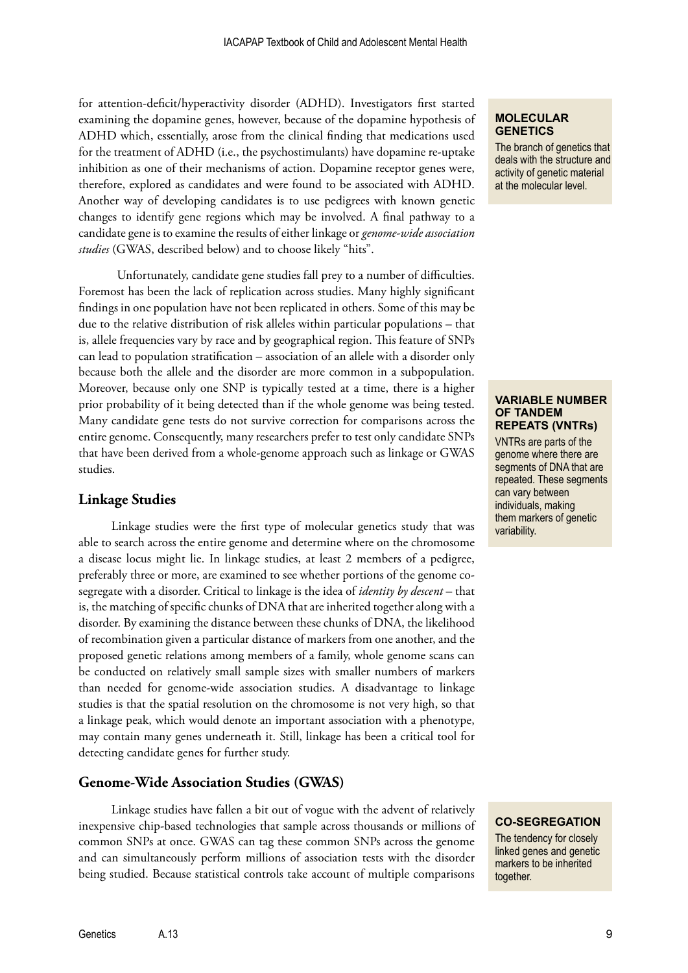for attention-deficit/hyperactivity disorder (ADHD). Investigators first started examining the dopamine genes, however, because of the dopamine hypothesis of ADHD which, essentially, arose from the clinical finding that medications used for the treatment of ADHD (i.e., the psychostimulants) have dopamine re-uptake inhibition as one of their mechanisms of action. Dopamine receptor genes were, therefore, explored as candidates and were found to be associated with ADHD. Another way of developing candidates is to use pedigrees with known genetic changes to identify gene regions which may be involved. A final pathway to a candidate gene is to examine the results of either linkage or *genome-wide association studies* (GWAS, described below) and to choose likely "hits".

Unfortunately, candidate gene studies fall prey to a number of difficulties. Foremost has been the lack of replication across studies. Many highly significant findings in one population have not been replicated in others. Some of this may be due to the relative distribution of risk alleles within particular populations – that is, allele frequencies vary by race and by geographical region. This feature of SNPs can lead to population stratification – association of an allele with a disorder only because both the allele and the disorder are more common in a subpopulation. Moreover, because only one SNP is typically tested at a time, there is a higher prior probability of it being detected than if the whole genome was being tested. Many candidate gene tests do not survive correction for comparisons across the entire genome. Consequently, many researchers prefer to test only candidate SNPs that have been derived from a whole-genome approach such as linkage or GWAS studies.

## **Linkage Studies**

Linkage studies were the first type of molecular genetics study that was able to search across the entire genome and determine where on the chromosome a disease locus might lie. In linkage studies, at least 2 members of a pedigree, preferably three or more, are examined to see whether portions of the genome cosegregate with a disorder. Critical to linkage is the idea of *identity by descent* – that is, the matching of specific chunks of DNA that are inherited together along with a disorder. By examining the distance between these chunks of DNA, the likelihood of recombination given a particular distance of markers from one another, and the proposed genetic relations among members of a family, whole genome scans can be conducted on relatively small sample sizes with smaller numbers of markers than needed for genome-wide association studies. A disadvantage to linkage studies is that the spatial resolution on the chromosome is not very high, so that a linkage peak, which would denote an important association with a phenotype, may contain many genes underneath it. Still, linkage has been a critical tool for detecting candidate genes for further study.

## **Genome-Wide Association Studies (GWAS)**

Linkage studies have fallen a bit out of vogue with the advent of relatively inexpensive chip-based technologies that sample across thousands or millions of common SNPs at once. GWAS can tag these common SNPs across the genome and can simultaneously perform millions of association tests with the disorder being studied. Because statistical controls take account of multiple comparisons

#### **MOLECULAR GENETICS**

The branch of genetics that deals with the structure and activity of genetic material at the molecular level.

#### **VARIABLE NUMBER OF TANDEM REPEATS (VNTRs)**

VNTRs are parts of the genome where there are segments of DNA that are repeated. These segments can vary between individuals, making them markers of genetic variability.

**CO-SEGREGATION**

The tendency for closely linked genes and genetic markers to be inherited together.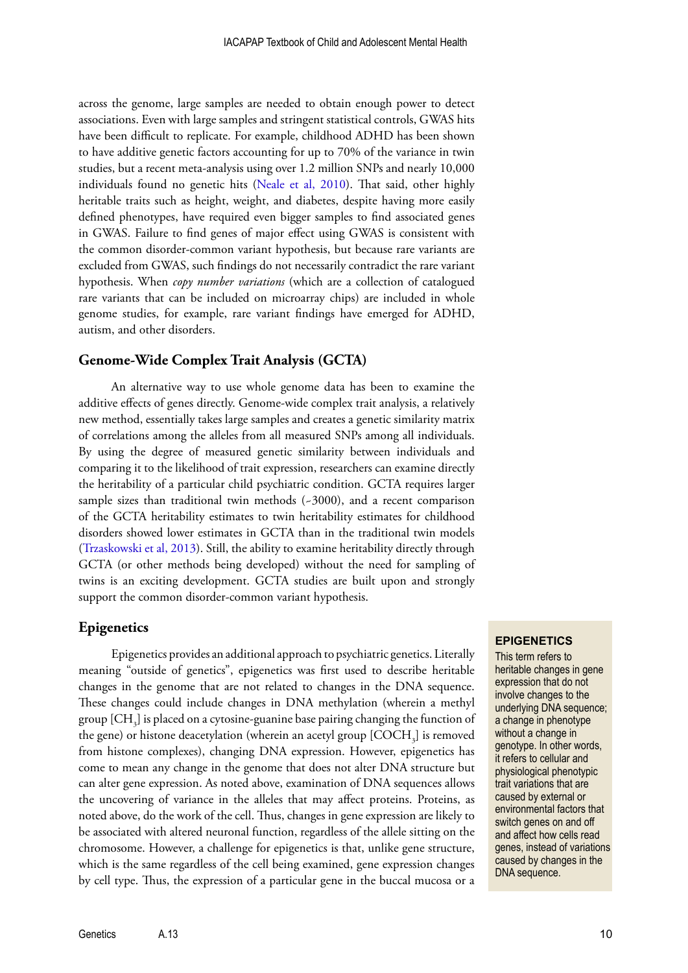across the genome, large samples are needed to obtain enough power to detect associations. Even with large samples and stringent statistical controls, GWAS hits have been difficult to replicate. For example, childhood ADHD has been shown to have additive genetic factors accounting for up to 70% of the variance in twin studies, but a recent meta-analysis using over 1.2 million SNPs and nearly 10,000 individuals found no genetic hits [\(Neale et al, 2010](http://www.ncbi.nlm.nih.gov/pmc/articles/PMC2928252/)). That said, other highly heritable traits such as height, weight, and diabetes, despite having more easily defined phenotypes, have required even bigger samples to find associated genes in GWAS. Failure to find genes of major effect using GWAS is consistent with the common disorder-common variant hypothesis, but because rare variants are excluded from GWAS, such findings do not necessarily contradict the rare variant hypothesis. When *copy number variations* (which are a collection of catalogued rare variants that can be included on microarray chips) are included in whole genome studies, for example, rare variant findings have emerged for ADHD, autism, and other disorders.

#### **Genome-Wide Complex Trait Analysis (GCTA)**

An alternative way to use whole genome data has been to examine the additive effects of genes directly. Genome-wide complex trait analysis, a relatively new method, essentially takes large samples and creates a genetic similarity matrix of correlations among the alleles from all measured SNPs among all individuals. By using the degree of measured genetic similarity between individuals and comparing it to the likelihood of trait expression, researchers can examine directly the heritability of a particular child psychiatric condition. GCTA requires larger sample sizes than traditional twin methods  $(-3000)$ , and a recent comparison of the GCTA heritability estimates to twin heritability estimates for childhood disorders showed lower estimates in GCTA than in the traditional twin models ([Trzaskowski et al, 2013\)](http://www.ncbi.nlm.nih.gov/pmc/articles/PMC3914760/). Still, the ability to examine heritability directly through GCTA (or other methods being developed) without the need for sampling of twins is an exciting development. GCTA studies are built upon and strongly support the common disorder-common variant hypothesis.

#### **Epigenetics**

Epigenetics provides an additional approach to psychiatric genetics. Literally meaning "outside of genetics", epigenetics was first used to describe heritable changes in the genome that are not related to changes in the DNA sequence. These changes could include changes in DNA methylation (wherein a methyl group [CH $_{\tiny 3}$ ] is placed on a cytosine-guanine base pairing changing the function of the gene) or histone deacetylation (wherein an acetyl group  $[\mathrm{COCH}_3]$  is removed from histone complexes), changing DNA expression. However, epigenetics has come to mean any change in the genome that does not alter DNA structure but can alter gene expression. As noted above, examination of DNA sequences allows the uncovering of variance in the alleles that may affect proteins. Proteins, as noted above, do the work of the cell. Thus, changes in gene expression are likely to be associated with altered neuronal function, regardless of the allele sitting on the chromosome. However, a challenge for epigenetics is that, unlike gene structure, which is the same regardless of the cell being examined, gene expression changes by cell type. Thus, the expression of a particular gene in the buccal mucosa or a

#### **EPIGENETICS**

This term refers to heritable changes in gene expression that do not involve changes to the underlying DNA sequence; a change in phenotype without a change in genotype. In other words, it refers to cellular and physiological phenotypic trait variations that are caused by external or environmental factors that switch genes on and off and affect how cells read genes, instead of variations caused by changes in the DNA sequence.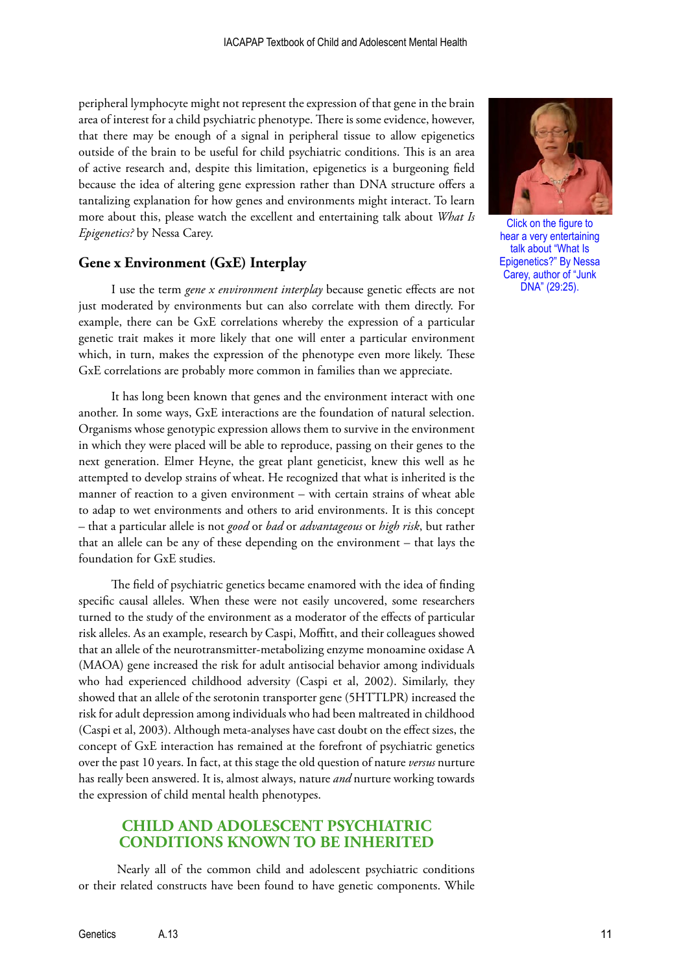peripheral lymphocyte might not represent the expression of that gene in the brain area of interest for a child psychiatric phenotype. There is some evidence, however, that there may be enough of a signal in peripheral tissue to allow epigenetics outside of the brain to be useful for child psychiatric conditions. This is an area of active research and, despite this limitation, epigenetics is a burgeoning field because the idea of altering gene expression rather than DNA structure offers a tantalizing explanation for how genes and environments might interact. To learn more about this, please watch the excellent and entertaining talk about *What Is Epigenetics?* by Nessa Carey.

## **Gene x Environment (GxE) Interplay**

I use the term *gene x environment interplay* because genetic effects are not just moderated by environments but can also correlate with them directly. For example, there can be GxE correlations whereby the expression of a particular genetic trait makes it more likely that one will enter a particular environment which, in turn, makes the expression of the phenotype even more likely. These GxE correlations are probably more common in families than we appreciate.

It has long been known that genes and the environment interact with one another. In some ways, GxE interactions are the foundation of natural selection. Organisms whose genotypic expression allows them to survive in the environment in which they were placed will be able to reproduce, passing on their genes to the next generation. Elmer Heyne, the great plant geneticist, knew this well as he attempted to develop strains of wheat. He recognized that what is inherited is the manner of reaction to a given environment – with certain strains of wheat able to adap to wet environments and others to arid environments. It is this concept – that a particular allele is not *good* or *bad* or *advantageous* or *high risk*, but rather that an allele can be any of these depending on the environment – that lays the foundation for GxE studies.

The field of psychiatric genetics became enamored with the idea of finding specific causal alleles. When these were not easily uncovered, some researchers turned to the study of the environment as a moderator of the effects of particular risk alleles. As an example, research by Caspi, Moffitt, and their colleagues showed that an allele of the neurotransmitter-metabolizing enzyme monoamine oxidase A (MAOA) gene increased the risk for adult antisocial behavior among individuals who had experienced childhood adversity (Caspi et al, 2002). Similarly, they showed that an allele of the serotonin transporter gene (5HTTLPR) increased the risk for adult depression among individuals who had been maltreated in childhood (Caspi et al, 2003). Although meta-analyses have cast doubt on the effect sizes, the concept of GxE interaction has remained at the forefront of psychiatric genetics over the past 10 years. In fact, at this stage the old question of nature *versus* nurture has really been answered. It is, almost always, nature *and* nurture working towards the expression of child mental health phenotypes.

## **CHILD AND ADOLESCENT PSYCHIATRIC CONDITIONS KNOWN TO BE INHERITED**

Nearly all of the common child and adolescent psychiatric conditions or their related constructs have been found to have genetic components. While



Click on the figure to hear a very entertaining talk about "What Is [Epigenetics?" By Nessa](https://www.youtube.com/watch?v=9DAcJSAM_BA)  Carey, author of "Junk DNA" (29:25).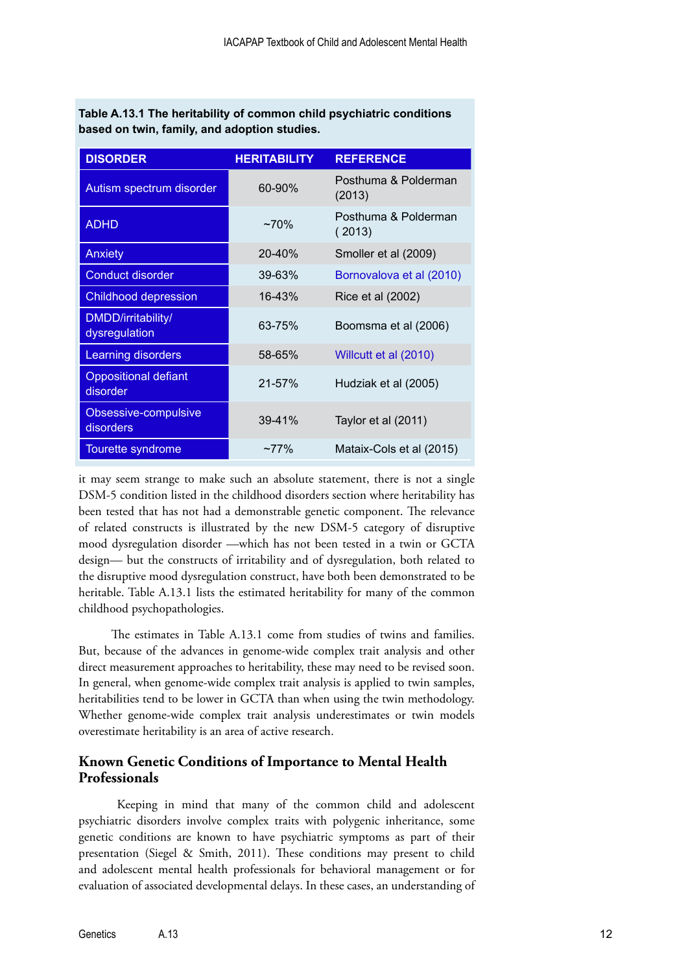**Table A.13.1 The heritability of common child psychiatric conditions based on twin, family, and adoption studies.**

| <b>DISORDER</b>                         | <b>HERITABILITY</b> | <b>REFERENCE</b>               |
|-----------------------------------------|---------------------|--------------------------------|
| Autism spectrum disorder                | 60-90%              | Posthuma & Polderman<br>(2013) |
| <b>ADHD</b>                             | $~270\%$            | Posthuma & Polderman<br>(2013) |
| <b>Anxiety</b>                          | $20 - 40%$          | Smoller et al (2009)           |
| <b>Conduct disorder</b>                 | $39 - 63%$          | Bornovalova et al (2010)       |
| <b>Childhood depression</b>             | 16-43%              | Rice et al (2002)              |
| DMDD/irritability/<br>dysregulation     | 63-75%              | Boomsma et al (2006)           |
| Learning disorders                      | 58-65%              | Willcutt et al (2010)          |
| <b>Oppositional defiant</b><br>disorder | $21 - 57%$          | Hudziak et al (2005)           |
| Obsessive-compulsive<br>disorders       | $39 - 41%$          | Taylor et al (2011)            |
| Tourette syndrome                       | $~277\%$            | Mataix-Cols et al (2015)       |

it may seem strange to make such an absolute statement, there is not a single DSM-5 condition listed in the childhood disorders section where heritability has been tested that has not had a demonstrable genetic component. The relevance of related constructs is illustrated by the new DSM-5 category of disruptive mood dysregulation disorder —which has not been tested in a twin or GCTA design— but the constructs of irritability and of dysregulation, both related to the disruptive mood dysregulation construct, have both been demonstrated to be heritable. Table A.13.1 lists the estimated heritability for many of the common childhood psychopathologies.

The estimates in Table A.13.1 come from studies of twins and families. But, because of the advances in genome-wide complex trait analysis and other direct measurement approaches to heritability, these may need to be revised soon. In general, when genome-wide complex trait analysis is applied to twin samples, heritabilities tend to be lower in GCTA than when using the twin methodology. Whether genome-wide complex trait analysis underestimates or twin models overestimate heritability is an area of active research.

## **Known Genetic Conditions of Importance to Mental Health Professionals**

Keeping in mind that many of the common child and adolescent psychiatric disorders involve complex traits with polygenic inheritance, some genetic conditions are known to have psychiatric symptoms as part of their presentation (Siegel & Smith, 2011). These conditions may present to child and adolescent mental health professionals for behavioral management or for evaluation of associated developmental delays. In these cases, an understanding of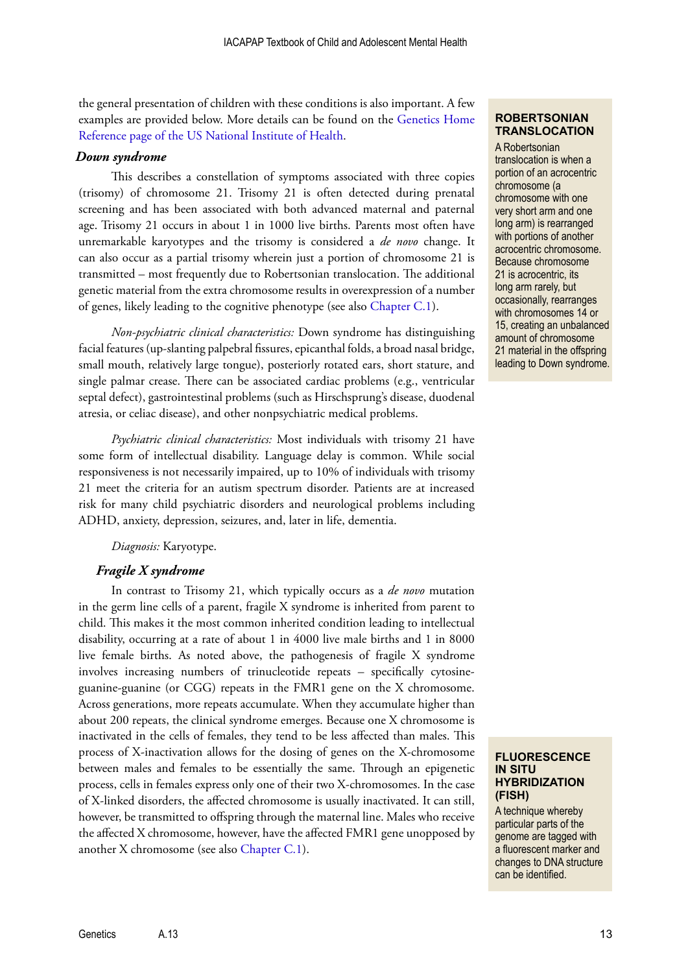the general presentation of children with these conditions is also important. A few examples are provided below. More details can be found on the [Genetics Home](http://ghr.nlm.nih.gov/)  [Reference page of the US National Institute of Health.](http://ghr.nlm.nih.gov/)

#### *Down syndrome*

This describes a constellation of symptoms associated with three copies (trisomy) of chromosome 21. Trisomy 21 is often detected during prenatal screening and has been associated with both advanced maternal and paternal age. Trisomy 21 occurs in about 1 in 1000 live births. Parents most often have unremarkable karyotypes and the trisomy is considered a *de novo* change. It can also occur as a partial trisomy wherein just a portion of chromosome 21 is transmitted – most frequently due to Robertsonian translocation. The additional genetic material from the extra chromosome results in overexpression of a number of genes, likely leading to the cognitive phenotype (see also [Chapter C.1\)](http://iacapap.org/wp-content/uploads/C.1-Intellectual-Disability.pdf).

*Non-psychiatric clinical characteristics:* Down syndrome has distinguishing facial features (up-slanting palpebral fissures, epicanthal folds, a broad nasal bridge, small mouth, relatively large tongue), posteriorly rotated ears, short stature, and single palmar crease. There can be associated cardiac problems (e.g., ventricular septal defect), gastrointestinal problems (such as Hirschsprung's disease, duodenal atresia, or celiac disease), and other nonpsychiatric medical problems.

*Psychiatric clinical characteristics:* Most individuals with trisomy 21 have some form of intellectual disability. Language delay is common. While social responsiveness is not necessarily impaired, up to 10% of individuals with trisomy 21 meet the criteria for an autism spectrum disorder. Patients are at increased risk for many child psychiatric disorders and neurological problems including ADHD, anxiety, depression, seizures, and, later in life, dementia.

*Diagnosis:* Karyotype.

#### *Fragile X syndrome*

In contrast to Trisomy 21, which typically occurs as a *de novo* mutation in the germ line cells of a parent, fragile X syndrome is inherited from parent to child. This makes it the most common inherited condition leading to intellectual disability, occurring at a rate of about 1 in 4000 live male births and 1 in 8000 live female births. As noted above, the pathogenesis of fragile X syndrome involves increasing numbers of trinucleotide repeats – specifically cytosineguanine-guanine (or CGG) repeats in the FMR1 gene on the X chromosome. Across generations, more repeats accumulate. When they accumulate higher than about 200 repeats, the clinical syndrome emerges. Because one X chromosome is inactivated in the cells of females, they tend to be less affected than males. This process of X-inactivation allows for the dosing of genes on the X-chromosome between males and females to be essentially the same. Through an epigenetic process, cells in females express only one of their two X-chromosomes. In the case of X-linked disorders, the affected chromosome is usually inactivated. It can still, however, be transmitted to offspring through the maternal line. Males who receive the affected X chromosome, however, have the affected FMR1 gene unopposed by another X chromosome (see also [Chapter C.1\)](http://iacapap.org/wp-content/uploads/C.1-Intellectual-Disability.pdf).

## **ROBERTSONIAN TRANSLOCATION**

A Robertsonian translocation is when a portion of an acrocentric chromosome (a chromosome with one very short arm and one long arm) is rearranged with portions of another acrocentric chromosome. Because chromosome 21 is acrocentric, its long arm rarely, but occasionally, rearranges with chromosomes 14 or 15, creating an unbalanced amount of chromosome 21 material in the offspring leading to Down syndrome.

#### **FLUORESCENCE IN SITU HYBRIDIZATION (FISH)**

A technique whereby particular parts of the genome are tagged with a fluorescent marker and changes to DNA structure can be identified.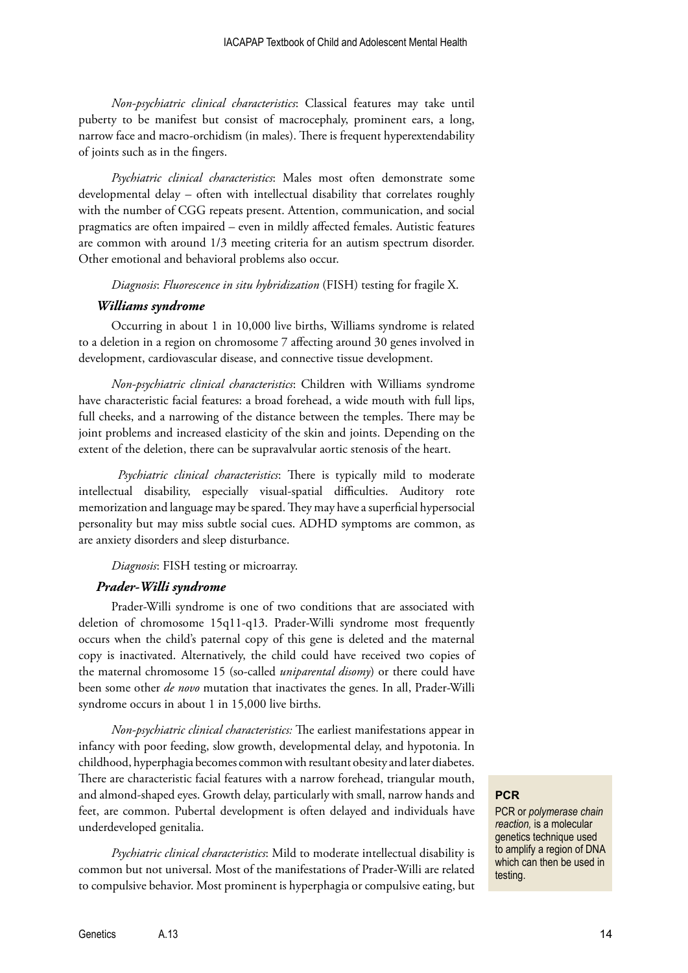*Non-psychiatric clinical characteristics*: Classical features may take until puberty to be manifest but consist of macrocephaly, prominent ears, a long, narrow face and macro-orchidism (in males). There is frequent hyperextendability of joints such as in the fingers.

*Psychiatric clinical characteristics*: Males most often demonstrate some developmental delay – often with intellectual disability that correlates roughly with the number of CGG repeats present. Attention, communication, and social pragmatics are often impaired – even in mildly affected females. Autistic features are common with around 1/3 meeting criteria for an autism spectrum disorder. Other emotional and behavioral problems also occur.

*Diagnosis*: *Fluorescence in situ hybridization* (FISH) testing for fragile X.

#### *Williams syndrome*

Occurring in about 1 in 10,000 live births, Williams syndrome is related to a deletion in a region on chromosome 7 affecting around 30 genes involved in development, cardiovascular disease, and connective tissue development.

*Non-psychiatric clinical characteristics*: Children with Williams syndrome have characteristic facial features: a broad forehead, a wide mouth with full lips, full cheeks, and a narrowing of the distance between the temples. There may be joint problems and increased elasticity of the skin and joints. Depending on the extent of the deletion, there can be supravalvular aortic stenosis of the heart.

*Psychiatric clinical characteristics*: There is typically mild to moderate intellectual disability, especially visual-spatial difficulties. Auditory rote memorization and language may be spared. They may have a superficial hypersocial personality but may miss subtle social cues. ADHD symptoms are common, as are anxiety disorders and sleep disturbance.

#### *Diagnosis*: FISH testing or microarray.

#### *Prader-Willi syndrome*

Prader-Willi syndrome is one of two conditions that are associated with deletion of chromosome 15q11-q13. Prader-Willi syndrome most frequently occurs when the child's paternal copy of this gene is deleted and the maternal copy is inactivated. Alternatively, the child could have received two copies of the maternal chromosome 15 (so-called *uniparental disomy*) or there could have been some other *de novo* mutation that inactivates the genes. In all, Prader-Willi syndrome occurs in about 1 in 15,000 live births.

*Non-psychiatric clinical characteristics:* The earliest manifestations appear in infancy with poor feeding, slow growth, developmental delay, and hypotonia. In childhood, hyperphagia becomes common with resultant obesity and later diabetes. There are characteristic facial features with a narrow forehead, triangular mouth, and almond-shaped eyes. Growth delay, particularly with small, narrow hands and feet, are common. Pubertal development is often delayed and individuals have underdeveloped genitalia.

*Psychiatric clinical characteristics*: Mild to moderate intellectual disability is common but not universal. Most of the manifestations of Prader-Willi are related to compulsive behavior. Most prominent is hyperphagia or compulsive eating, but

## **PCR**

PCR or *polymerase chain reaction,* is a molecular genetics technique used to amplify a region of DNA which can then be used in testing.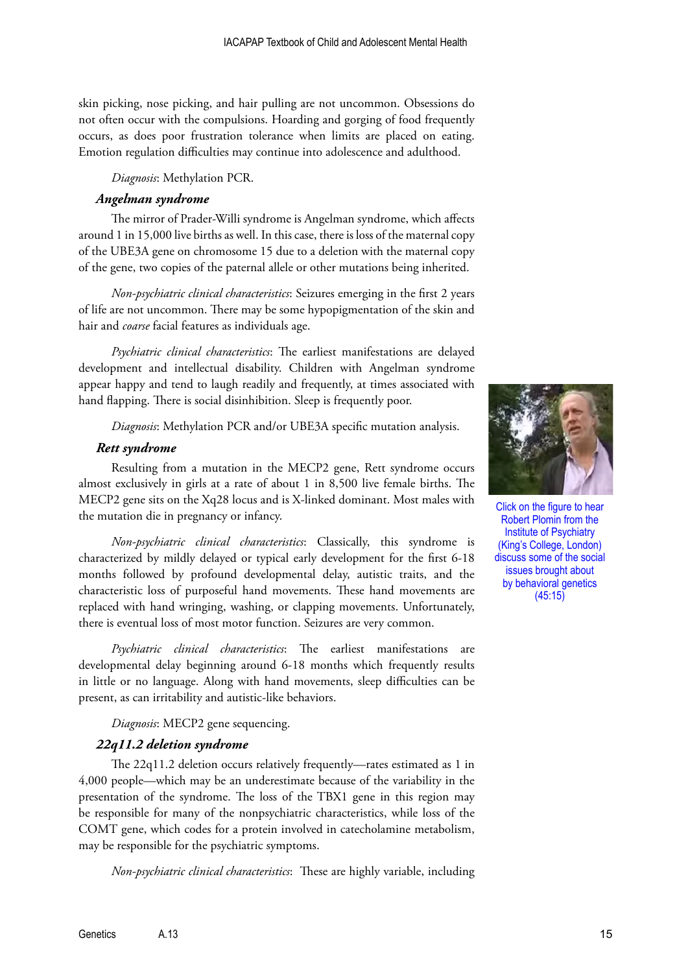skin picking, nose picking, and hair pulling are not uncommon. Obsessions do not often occur with the compulsions. Hoarding and gorging of food frequently occurs, as does poor frustration tolerance when limits are placed on eating. Emotion regulation difficulties may continue into adolescence and adulthood.

*Diagnosis*: Methylation PCR.

#### *Angelman syndrome*

The mirror of Prader-Willi syndrome is Angelman syndrome, which affects around 1 in 15,000 live births as well. In this case, there is loss of the maternal copy of the UBE3A gene on chromosome 15 due to a deletion with the maternal copy of the gene, two copies of the paternal allele or other mutations being inherited.

*Non-psychiatric clinical characteristics*: Seizures emerging in the first 2 years of life are not uncommon. There may be some hypopigmentation of the skin and hair and *coarse* facial features as individuals age.

*Psychiatric clinical characteristics*: The earliest manifestations are delayed development and intellectual disability. Children with Angelman syndrome appear happy and tend to laugh readily and frequently, at times associated with hand flapping. There is social disinhibition. Sleep is frequently poor.

*Diagnosis*: Methylation PCR and/or UBE3A specific mutation analysis.

#### *Rett syndrome*

Resulting from a mutation in the MECP2 gene, Rett syndrome occurs almost exclusively in girls at a rate of about 1 in 8,500 live female births. The MECP2 gene sits on the Xq28 locus and is X-linked dominant. Most males with the mutation die in pregnancy or infancy.

*Non-psychiatric clinical characteristics*: Classically, this syndrome is characterized by mildly delayed or typical early development for the first 6-18 months followed by profound developmental delay, autistic traits, and the characteristic loss of purposeful hand movements. These hand movements are replaced with hand wringing, washing, or clapping movements. Unfortunately, there is eventual loss of most motor function. Seizures are very common.

*Psychiatric clinical characteristics*: The earliest manifestations are developmental delay beginning around 6-18 months which frequently results in little or no language. Along with hand movements, sleep difficulties can be present, as can irritability and autistic-like behaviors.

*Diagnosis*: MECP2 gene sequencing.

## *22q11.2 deletion syndrome*

The 22q11.2 deletion occurs relatively frequently—rates estimated as 1 in 4,000 people—which may be an underestimate because of the variability in the presentation of the syndrome. The loss of the TBX1 gene in this region may be responsible for many of the nonpsychiatric characteristics, while loss of the COMT gene, which codes for a protein involved in catecholamine metabolism, may be responsible for the psychiatric symptoms.

*Non-psychiatric clinical characteristics*: These are highly variable, including



Click on the figure to hear Robert Plomin from the Institute of Psychiatry (King's College, London) [discuss some of the social](https://www.youtube.com/watch?v=TUCkylLAxK0)  issues brought about by behavioral genetics (45:15)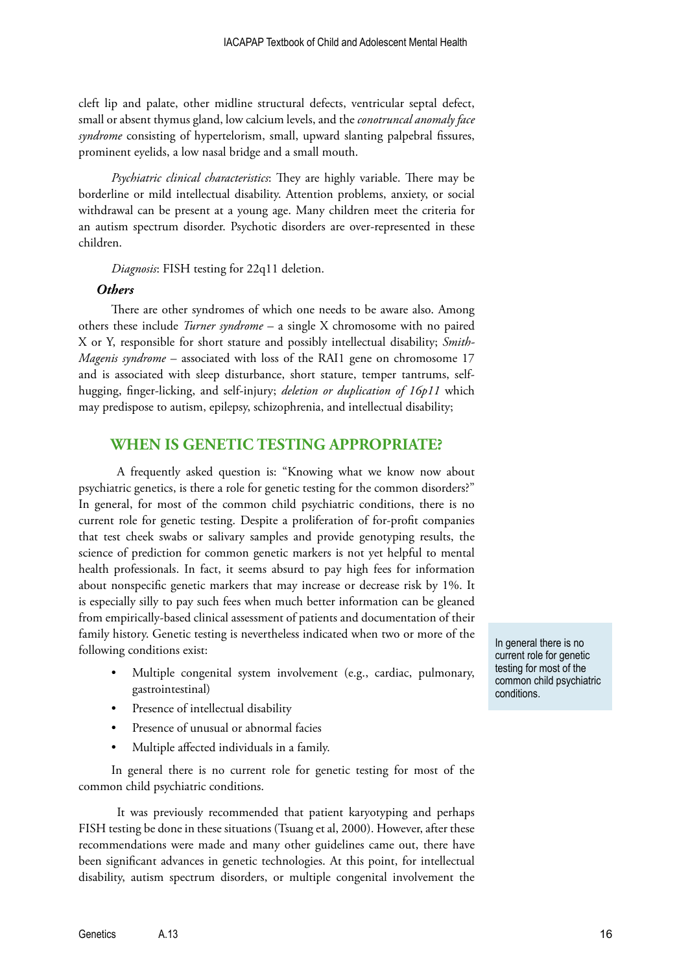cleft lip and palate, other midline structural defects, ventricular septal defect, small or absent thymus gland, low calcium levels, and the *conotruncal anomaly face syndrome* consisting of hypertelorism, small, upward slanting palpebral fissures, prominent eyelids, a low nasal bridge and a small mouth.

*Psychiatric clinical characteristics*: They are highly variable. There may be borderline or mild intellectual disability. Attention problems, anxiety, or social withdrawal can be present at a young age. Many children meet the criteria for an autism spectrum disorder. Psychotic disorders are over-represented in these children.

*Diagnosis*: FISH testing for 22q11 deletion.

## *Others*

There are other syndromes of which one needs to be aware also. Among others these include *Turner syndrome* – a single X chromosome with no paired X or Y, responsible for short stature and possibly intellectual disability; *Smith-Magenis syndrome* – associated with loss of the RAI1 gene on chromosome 17 and is associated with sleep disturbance, short stature, temper tantrums, selfhugging, finger-licking, and self-injury; *deletion or duplication of 16p11* which may predispose to autism, epilepsy, schizophrenia, and intellectual disability;

## **WHEN IS GENETIC TESTING APPROPRIATE?**

A frequently asked question is: "Knowing what we know now about psychiatric genetics, is there a role for genetic testing for the common disorders?" In general, for most of the common child psychiatric conditions, there is no current role for genetic testing. Despite a proliferation of for-profit companies that test cheek swabs or salivary samples and provide genotyping results, the science of prediction for common genetic markers is not yet helpful to mental health professionals. In fact, it seems absurd to pay high fees for information about nonspecific genetic markers that may increase or decrease risk by 1%. It is especially silly to pay such fees when much better information can be gleaned from empirically-based clinical assessment of patients and documentation of their family history. Genetic testing is nevertheless indicated when two or more of the following conditions exist:

- Multiple congenital system involvement (e.g., cardiac, pulmonary, gastrointestinal)
- Presence of intellectual disability
- Presence of unusual or abnormal facies
- Multiple affected individuals in a family.

In general there is no current role for genetic testing for most of the common child psychiatric conditions.

It was previously recommended that patient karyotyping and perhaps FISH testing be done in these situations (Tsuang et al, 2000). However, after these recommendations were made and many other guidelines came out, there have been significant advances in genetic technologies. At this point, for intellectual disability, autism spectrum disorders, or multiple congenital involvement the In general there is no current role for genetic testing for most of the common child psychiatric conditions.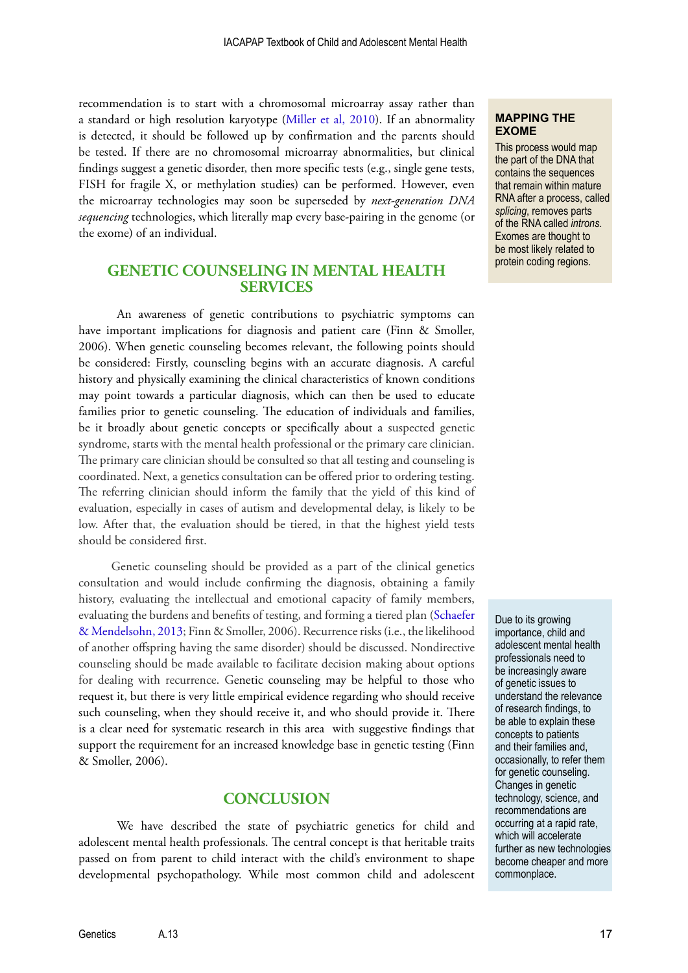recommendation is to start with a chromosomal microarray assay rather than a standard or high resolution karyotype [\(Miller et al, 2010\)](http://www.ncbi.nlm.nih.gov/pmc/articles/PMC2869000/). If an abnormality is detected, it should be followed up by confirmation and the parents should be tested. If there are no chromosomal microarray abnormalities, but clinical findings suggest a genetic disorder, then more specific tests (e.g., single gene tests, FISH for fragile X, or methylation studies) can be performed. However, even the microarray technologies may soon be superseded by *next-generation DNA sequencing* technologies, which literally map every base-pairing in the genome (or the exome) of an individual.

## **GENETIC COUNSELING IN MENTAL HEALTH SERVICES**

An awareness of genetic contributions to psychiatric symptoms can have important implications for diagnosis and patient care (Finn & Smoller, 2006). When genetic counseling becomes relevant, the following points should be considered: Firstly, counseling begins with an accurate diagnosis. A careful history and physically examining the clinical characteristics of known conditions may point towards a particular diagnosis, which can then be used to educate families prior to genetic counseling. The education of individuals and families, be it broadly about genetic concepts or specifically about a suspected genetic syndrome, starts with the mental health professional or the primary care clinician. The primary care clinician should be consulted so that all testing and counseling is coordinated. Next, a genetics consultation can be offered prior to ordering testing. The referring clinician should inform the family that the yield of this kind of evaluation, especially in cases of autism and developmental delay, is likely to be low. After that, the evaluation should be tiered, in that the highest yield tests should be considered first.

Genetic counseling should be provided as a part of the clinical genetics consultation and would include confirming the diagnosis, obtaining a family history, evaluating the intellectual and emotional capacity of family members, evaluating the burdens and benefits of testing, and forming a tiered plan [\(Schaefer](http://www.nature.com/gim/journal/v15/n5/full/gim201332a.html)  [& Mendelsohn, 2013](http://www.nature.com/gim/journal/v15/n5/full/gim201332a.html); Finn & Smoller, 2006). Recurrence risks (i.e., the likelihood of another offspring having the same disorder) should be discussed. Nondirective counseling should be made available to facilitate decision making about options for dealing with recurrence. Genetic counseling may be helpful to those who request it, but there is very little empirical evidence regarding who should receive such counseling, when they should receive it, and who should provide it. There is a clear need for systematic research in this area with suggestive findings that support the requirement for an increased knowledge base in genetic testing (Finn & Smoller, 2006).

## **CONCLUSION**

We have described the state of psychiatric genetics for child and adolescent mental health professionals. The central concept is that heritable traits passed on from parent to child interact with the child's environment to shape developmental psychopathology. While most common child and adolescent

#### **MAPPING THE EXOME**

This process would map the part of the DNA that contains the sequences that remain within mature RNA after a process, called *splicing*, removes parts of the RNA called *introns*. Exomes are thought to be most likely related to protein coding regions.

Due to its growing importance, child and adolescent mental health professionals need to be increasingly aware of genetic issues to understand the relevance of research findings, to be able to explain these concepts to patients and their families and, occasionally, to refer them for genetic counseling. Changes in genetic technology, science, and recommendations are occurring at a rapid rate, which will accelerate further as new technologies become cheaper and more commonplace.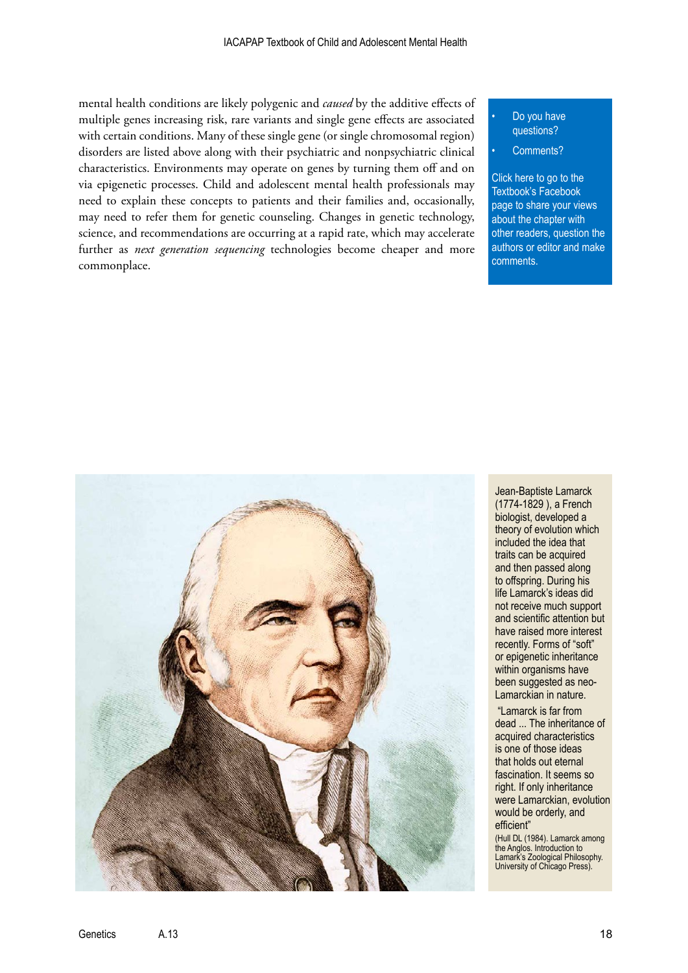mental health conditions are likely polygenic and *caused* by the additive effects of multiple genes increasing risk, rare variants and single gene effects are associated with certain conditions. Many of these single gene (or single chromosomal region) disorders are listed above along with their psychiatric and nonpsychiatric clinical characteristics. Environments may operate on genes by turning them off and on via epigenetic processes. Child and adolescent mental health professionals may need to explain these concepts to patients and their families and, occasionally, may need to refer them for genetic counseling. Changes in genetic technology, science, and recommendations are occurring at a rapid rate, which may accelerate further as *next generation sequencing* technologies become cheaper and more commonplace.

#### Do you have questions?

#### Comments?

Click here to go to the Textbook's Facebook page to share your views about the chapter with [other readers, question the](https://www.facebook.com/pages/IACAPAP-Textbook-of-Child-and-Adolescent-Mental-Health/249690448525378)  authors or editor and make comments.



Jean-Baptiste Lamarck (1774-1829 ), a French biologist, developed a theory of evolution which included the idea that traits can be acquired and then passed along to offspring. During his life Lamarck's ideas did not receive much support and scientific attention but have raised more interest recently. Forms of "soft" or epigenetic inheritance within organisms have been suggested as neo-Lamarckian in nature.

 "Lamarck is far from dead ... The inheritance of acquired characteristics is one of those ideas that holds out eternal fascination. It seems so right. If only inheritance were Lamarckian, evolution would be orderly, and efficient"

(Hull DL (1984). Lamarck among the Anglos. Introduction to Lamark's Zoological Philosophy. University of Chicago Press).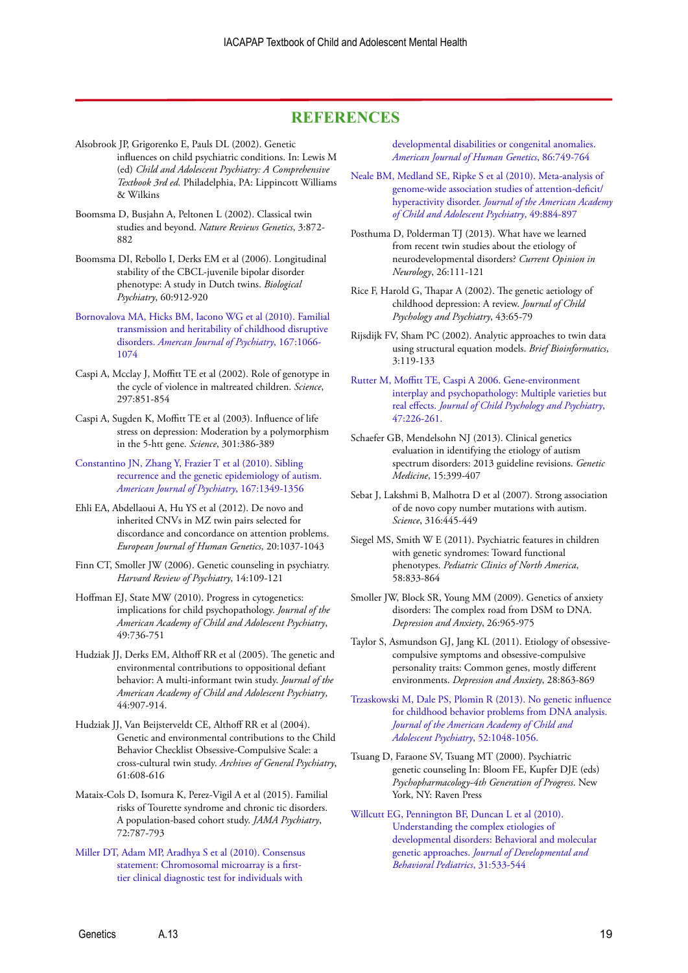## **REFERENCES**

- Alsobrook JP, Grigorenko E, Pauls DL (2002). Genetic influences on child psychiatric conditions. In: Lewis M (ed) *Child and Adolescent Psychiatry: A Comprehensive Textbook 3rd ed.* Philadelphia, PA: Lippincott Williams & Wilkins
- Boomsma D, Busjahn A, Peltonen L (2002). Classical twin studies and beyond. *Nature Reviews Genetics*, 3:872- 882
- Boomsma DI, Rebollo I, Derks EM et al (2006). Longitudinal stability of the CBCL-juvenile bipolar disorder phenotype: A study in Dutch twins. *Biological Psychiatry*, 60:912-920
- [Bornovalova MA, Hicks BM, Iacono WG et al \(2010\). Familial](http://www.ncbi.nlm.nih.gov/pmc/articles/PMC2936682/)  [transmission and heritability of childhood disruptive](http://www.ncbi.nlm.nih.gov/pmc/articles/PMC2936682/)  disorders. *[Amercan Journal of Psychiatry](http://www.ncbi.nlm.nih.gov/pmc/articles/PMC2936682/)*, 167:1066- [1074](http://www.ncbi.nlm.nih.gov/pmc/articles/PMC2936682/)
- Caspi A, Mcclay J, Moffitt TE et al (2002). Role of genotype in the cycle of violence in maltreated children. *Science*, 297:851-854
- Caspi A, Sugden K, Moffitt TE et al (2003). Influence of life stress on depression: Moderation by a polymorphism in the 5-htt gene. *Science*, 301:386-389
- [Constantino JN, Zhang Y, Frazier T et al \(2010\). Sibling](http://www.ncbi.nlm.nih.gov/pmc/articles/PMC2970737/)  [recurrence and the genetic epidemiology of autism.](http://www.ncbi.nlm.nih.gov/pmc/articles/PMC2970737/)  *[American Journal of Psychiatry](http://www.ncbi.nlm.nih.gov/pmc/articles/PMC2970737/)*, 167:1349-1356
- Ehli EA, Abdellaoui A, Hu YS et al (2012). De novo and inherited CNVs in MZ twin pairs selected for discordance and concordance on attention problems. *European Journal of Human Genetics*, 20:1037-1043
- Finn CT, Smoller JW (2006). Genetic counseling in psychiatry. *Harvard Review of Psychiatry*, 14:109-121
- Hoffman EJ, State MW (2010). Progress in cytogenetics: implications for child psychopathology. *Journal of the American Academy of Child and Adolescent Psychiatry*, 49:736-751
- Hudziak JJ, Derks EM, Althoff RR et al (2005). The genetic and environmental contributions to oppositional defiant behavior: A multi-informant twin study. *Journal of the American Academy of Child and Adolescent Psychiatry*, 44:907-914.
- Hudziak JJ, Van Beijsterveldt CE, Althoff RR et al (2004). Genetic and environmental contributions to the Child Behavior Checklist Obsessive-Compulsive Scale: a cross-cultural twin study. *Archives of General Psychiatry*, 61:608-616
- Mataix-Cols D, Isomura K, Perez-Vigil A et al (2015). Familial risks of Tourette syndrome and chronic tic disorders. A population-based cohort study. *JAMA Psychiatry*, 72:787-793
- [Miller DT, Adam MP, Aradhya S et al \(2010\). Consensus](http://www.ncbi.nlm.nih.gov/pmc/articles/PMC2869000/)  [statement: Chromosomal microarray is a first](http://www.ncbi.nlm.nih.gov/pmc/articles/PMC2869000/)[tier clinical diagnostic test for individuals with](http://www.ncbi.nlm.nih.gov/pmc/articles/PMC2869000/)

[developmental disabilities or congenital anomalies.](http://www.ncbi.nlm.nih.gov/pmc/articles/PMC2869000/)  *[American Journal of Human Genetics](http://www.ncbi.nlm.nih.gov/pmc/articles/PMC2869000/)*, 86:749-764

[Neale BM, Medland SE, Ripke S et al \(2010\). Meta-analysis of](http://www.ncbi.nlm.nih.gov/pmc/articles/PMC2928252/)  [genome-wide association studies of attention-deficit/](http://www.ncbi.nlm.nih.gov/pmc/articles/PMC2928252/) hyperactivity disorder. *[Journal of the American Academy](http://www.ncbi.nlm.nih.gov/pmc/articles/PMC2928252/) [of Child and Adolescent Psychiatry](http://www.ncbi.nlm.nih.gov/pmc/articles/PMC2928252/)*, 49:884-897

Posthuma D, Polderman TJ (2013). What have we learned from recent twin studies about the etiology of neurodevelopmental disorders? *Current Opinion in Neurology*, 26:111-121

- Rice F, Harold G, Thapar A (2002). The genetic aetiology of childhood depression: A review. *Journal of Child Psychology and Psychiatry*, 43:65-79
- Rijsdijk FV, Sham PC (2002). Analytic approaches to twin data using structural equation models. *Brief Bioinformatics*, 3:119-133
- [Rutter M, Moffitt TE, Caspi A 2006. Gene-environment](http://adai.washington.edu/confederation/2008readings/Hill_rutter-2006-gxe.pdf)  [interplay and psychopathology: Multiple varieties but](http://adai.washington.edu/confederation/2008readings/Hill_rutter-2006-gxe.pdf)  real effects. *[Journal of Child Psychology and Psychiatry](http://adai.washington.edu/confederation/2008readings/Hill_rutter-2006-gxe.pdf)*, [47:226-261.](http://adai.washington.edu/confederation/2008readings/Hill_rutter-2006-gxe.pdf)
- Schaefer GB, Mendelsohn NJ (2013). Clinical genetics evaluation in identifying the etiology of autism spectrum disorders: 2013 guideline revisions. *Genetic Medicine*, 15:399-407
- Sebat J, Lakshmi B, Malhotra D et al (2007). Strong association of de novo copy number mutations with autism. *Science*, 316:445-449
- Siegel MS, Smith W E (2011). Psychiatric features in children with genetic syndromes: Toward functional phenotypes. *Pediatric Clinics of North America*, 58:833-864
- Smoller JW, Block SR, Young MM (2009). Genetics of anxiety disorders: The complex road from DSM to DNA. *Depression and Anxiety*, 26:965-975
- Taylor S, Asmundson GJ, Jang KL (2011). Etiology of obsessivecompulsive symptoms and obsessive-compulsive personality traits: Common genes, mostly different environments. *Depression and Anxiety*, 28:863-869

[Trzaskowski M, Dale PS, Plomin R \(2013\). No genetic influence](http://www.ncbi.nlm.nih.gov/pmc/articles/PMC3914760/)  [for childhood behavior problems from DNA analysis.](http://www.ncbi.nlm.nih.gov/pmc/articles/PMC3914760/)  *[Journal of the American Academy of Child and](http://www.ncbi.nlm.nih.gov/pmc/articles/PMC3914760/)  [Adolescent Psychiatry](http://www.ncbi.nlm.nih.gov/pmc/articles/PMC3914760/)*, 52:1048-1056.

Tsuang D, Faraone SV, Tsuang MT (2000). Psychiatric genetic counseling In: Bloom FE, Kupfer DJE (eds) *Psychopharmacology-4th Generation of Progress*. New York, NY: Raven Press

[Willcutt EG, Pennington BF, Duncan L et al \(2010\).](http://www.ncbi.nlm.nih.gov/pmc/articles/PMC2953861/)  [Understanding the complex etiologies of](http://www.ncbi.nlm.nih.gov/pmc/articles/PMC2953861/)  [developmental disorders: Behavioral and molecular](http://www.ncbi.nlm.nih.gov/pmc/articles/PMC2953861/)  genetic approaches. *[Journal of Developmental and](http://www.ncbi.nlm.nih.gov/pmc/articles/PMC2953861/)  [Behavioral Pediatrics](http://www.ncbi.nlm.nih.gov/pmc/articles/PMC2953861/)*, 31:533-544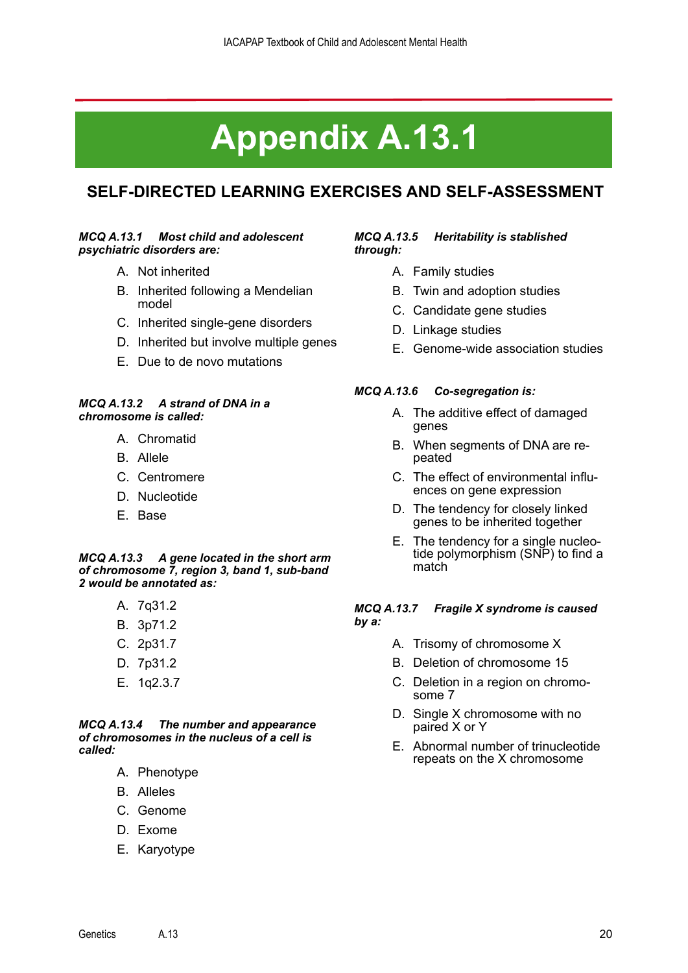# **Appendix A.13.1**

## **SELF-DIRECTED LEARNING EXERCISES AND SELF-ASSESSMENT**

## *MCQ A.13.1 Most child and adolescent psychiatric disorders are:*

- A. Not inherited
- B. Inherited following a Mendelian model
- C. Inherited single-gene disorders
- D. Inherited but involve multiple genes
- E. Due to de novo mutations

#### *MCQ A.13.2 A strand of DNA in a chromosome is called:*

- A. Chromatid
- B. Allele
- C. Centromere
- D. Nucleotide
- E. Base

#### *MCQ A.13.3 A gene located in the short arm of chromosome 7, region 3, band 1, sub-band 2 would be annotated as:*

- A. 7q31.2
- B. 3p71.2
- C. 2p31.7
- D. 7p31.2
- E. 1q2.3.7

*MCQ A.13.4 The number and appearance of chromosomes in the nucleus of a cell is called:*

- A. Phenotype
- B. Alleles
- C. Genome
- D. Exome
- E. Karyotype

## *MCQ A.13.5 Heritability is stablished through:*

- A. Family studies
- B. Twin and adoption studies
- C. Candidate gene studies
- D. Linkage studies
- E. Genome-wide association studies

## *MCQ A.13.6 Co-segregation is:*

- A. The additive effect of damaged genes
- B. When segments of DNA are repeated
- C. The effect of environmental influ- ences on gene expression
- D. The tendency for closely linked genes to be inherited together
- E. The tendency for a single nucleo- tide polymorphism (SNP) to find a match

## *MCQ A.13.7 Fragile X syndrome is caused by a:*

- A. Trisomy of chromosome X
- B. Deletion of chromosome 15
- C. Deletion in a region on chromosome 7
- D. Single X chromosome with no paired X or Y
- E. Abnormal number of trinucleotide repeats on the X chromosome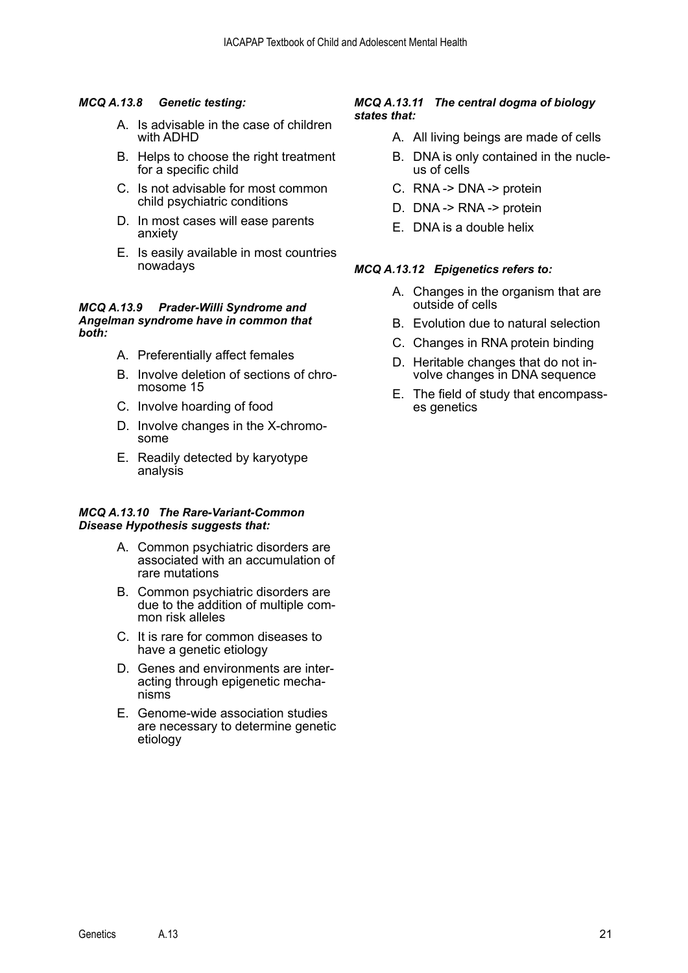## *MCQ A.13.8 Genetic testing:*

- A. Is advisable in the case of children with ADHD
- B. Helps to choose the right treatment for a specific child
- C. Is not advisable for most common child psychiatric conditions
- D. In most cases will ease parents anxiety
- E. Is easily available in most countries nowadays

#### *MCQ A.13.9 Prader-Willi Syndrome and Angelman syndrome have in common that both:*

- A. Preferentially affect females
- B. Involve deletion of sections of chro- mosome 15
- C. Involve hoarding of food
- D. Involve changes in the X-chromo- some
- E. Readily detected by karyotype analysis

#### *MCQ A.13.10 The Rare-Variant-Common Disease Hypothesis suggests that:*

- A. Common psychiatric disorders are associated with an accumulation of rare mutations
- B. Common psychiatric disorders are due to the addition of multiple common risk alleles
- C. It is rare for common diseases to have a genetic etiology
- D. Genes and environments are interacting through epigenetic mecha nisms
- E. Genome-wide association studies are necessary to determine genetic etiology

## *MCQ A.13.11 The central dogma of biology states that:*

- A. All living beings are made of cells
- B. DNA is only contained in the nucleus of cells
- C. RNA -> DNA -> protein
- D. DNA -> RNA -> protein
- E. DNA is a double helix

## *MCQ A.13.12 Epigenetics refers to:*

- A. Changes in the organism that are outside of cells
- B. Evolution due to natural selection
- C. Changes in RNA protein binding
- D. Heritable changes that do not in- volve changes in DNA sequence
- E. The field of study that encompasses genetics